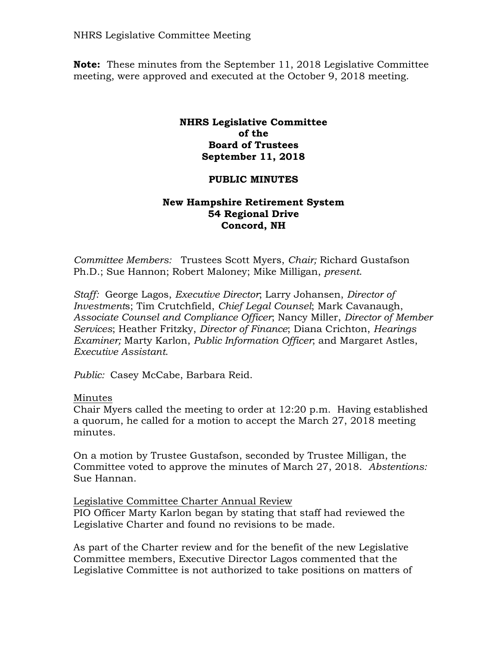NHRS Legislative Committee Meeting

**Note:** These minutes from the September 11, 2018 Legislative Committee meeting, were approved and executed at the October 9, 2018 meeting.

### **NHRS Legislative Committee of the Board of Trustees September 11, 2018**

## **PUBLIC MINUTES**

## **New Hampshire Retirement System 54 Regional Drive Concord, NH**

*Committee Members:* Trustees Scott Myers, *Chair;* Richard Gustafson Ph.D.; Sue Hannon; Robert Maloney; Mike Milligan, *present*.

*Staff:* George Lagos, *Executive Director*; Larry Johansen, *Director of Investment*s; Tim Crutchfield, *Chief Legal Counsel*; Mark Cavanaugh, *Associate Counsel and Compliance Officer*; Nancy Miller, *Director of Member Services*; Heather Fritzky, *Director of Finance*; Diana Crichton, *Hearings Examiner;* Marty Karlon, *Public Information Officer*; and Margaret Astles, *Executive Assistant*.

*Public:* Casey McCabe, Barbara Reid.

### Minutes

Chair Myers called the meeting to order at 12:20 p.m. Having established a quorum, he called for a motion to accept the March 27, 2018 meeting minutes.

On a motion by Trustee Gustafson, seconded by Trustee Milligan, the Committee voted to approve the minutes of March 27, 2018. *Abstentions:* Sue Hannan.

Legislative Committee Charter Annual Review PIO Officer Marty Karlon began by stating that staff had reviewed the

Legislative Charter and found no revisions to be made.

As part of the Charter review and for the benefit of the new Legislative Committee members, Executive Director Lagos commented that the Legislative Committee is not authorized to take positions on matters of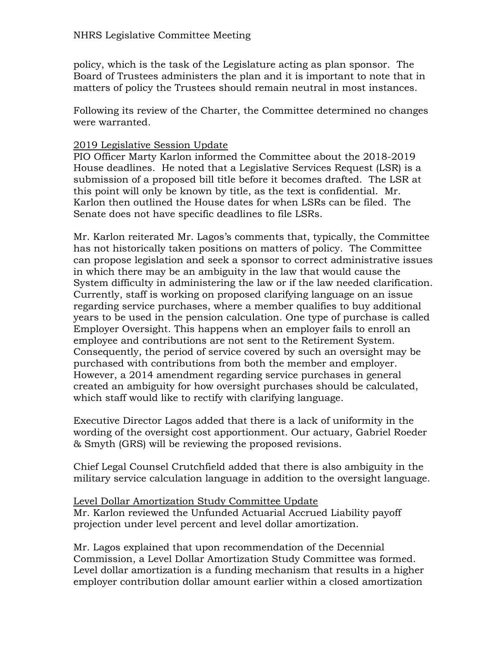policy, which is the task of the Legislature acting as plan sponsor. The Board of Trustees administers the plan and it is important to note that in matters of policy the Trustees should remain neutral in most instances.

Following its review of the Charter, the Committee determined no changes were warranted.

# 2019 Legislative Session Update

PIO Officer Marty Karlon informed the Committee about the 2018-2019 House deadlines. He noted that a Legislative Services Request (LSR) is a submission of a proposed bill title before it becomes drafted. The LSR at this point will only be known by title, as the text is confidential. Mr. Karlon then outlined the House dates for when LSRs can be filed. The Senate does not have specific deadlines to file LSRs.

Mr. Karlon reiterated Mr. Lagos's comments that, typically, the Committee has not historically taken positions on matters of policy. The Committee can propose legislation and seek a sponsor to correct administrative issues in which there may be an ambiguity in the law that would cause the System difficulty in administering the law or if the law needed clarification. Currently, staff is working on proposed clarifying language on an issue regarding service purchases, where a member qualifies to buy additional years to be used in the pension calculation. One type of purchase is called Employer Oversight. This happens when an employer fails to enroll an employee and contributions are not sent to the Retirement System. Consequently, the period of service covered by such an oversight may be purchased with contributions from both the member and employer. However, a 2014 amendment regarding service purchases in general created an ambiguity for how oversight purchases should be calculated, which staff would like to rectify with clarifying language.

Executive Director Lagos added that there is a lack of uniformity in the wording of the oversight cost apportionment. Our actuary, Gabriel Roeder & Smyth (GRS) will be reviewing the proposed revisions.

Chief Legal Counsel Crutchfield added that there is also ambiguity in the military service calculation language in addition to the oversight language.

Level Dollar Amortization Study Committee Update Mr. Karlon reviewed the Unfunded Actuarial Accrued Liability payoff projection under level percent and level dollar amortization.

Mr. Lagos explained that upon recommendation of the Decennial Commission, a Level Dollar Amortization Study Committee was formed. Level dollar amortization is a funding mechanism that results in a higher employer contribution dollar amount earlier within a closed amortization